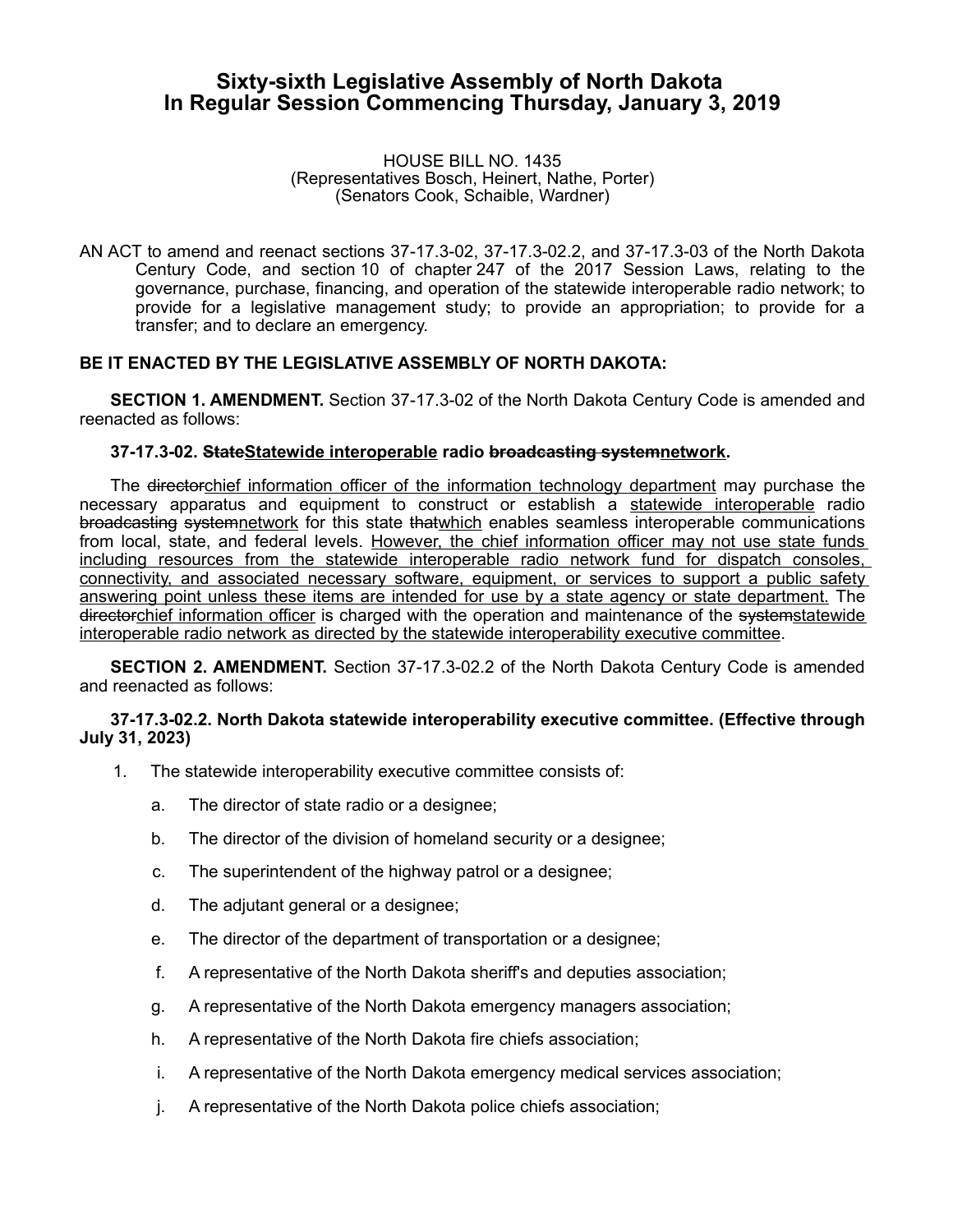# **Sixty-sixth Legislative Assembly of North Dakota In Regular Session Commencing Thursday, January 3, 2019**

HOUSE BILL NO. 1435 (Representatives Bosch, Heinert, Nathe, Porter) (Senators Cook, Schaible, Wardner)

AN ACT to amend and reenact sections 37-17.3-02, 37-17.3-02.2, and 37-17.3-03 of the North Dakota Century Code, and section 10 of chapter 247 of the 2017 Session Laws, relating to the governance, purchase, financing, and operation of the statewide interoperable radio network; to provide for a legislative management study; to provide an appropriation; to provide for a transfer; and to declare an emergency.

### **BE IT ENACTED BY THE LEGISLATIVE ASSEMBLY OF NORTH DAKOTA:**

**SECTION 1. AMENDMENT.** Section 37-17.3-02 of the North Dakota Century Code is amended and reenacted as follows:

#### **37-17.3-02. StateStatewide interoperable radio broadcasting systemnetwork.**

The directorchief information officer of the information technology department may purchase the necessary apparatus and equipment to construct or establish a statewide interoperable radio broadcasting systemnetwork for this state thatwhich enables seamless interoperable communications from local, state, and federal levels. However, the chief information officer may not use state funds including resources from the statewide interoperable radio network fund for dispatch consoles, connectivity, and associated necessary software, equipment, or services to support a public safety answering point unless these items are intended for use by a state agency or state department. The directorchief information officer is charged with the operation and maintenance of the systemstatewide interoperable radio network as directed by the statewide interoperability executive committee.

**SECTION 2. AMENDMENT.** Section 37-17.3-02.2 of the North Dakota Century Code is amended and reenacted as follows:

#### **37-17.3-02.2. North Dakota statewide interoperability executive committee. (Effective through July 31, 2023)**

- 1. The statewide interoperability executive committee consists of:
	- a. The director of state radio or a designee;
	- b. The director of the division of homeland security or a designee;
	- c. The superintendent of the highway patrol or a designee;
	- d. The adjutant general or a designee;
	- e. The director of the department of transportation or a designee;
	- f. A representative of the North Dakota sheriff's and deputies association;
	- g. A representative of the North Dakota emergency managers association;
	- h. A representative of the North Dakota fire chiefs association;
	- i. A representative of the North Dakota emergency medical services association;
	- j. A representative of the North Dakota police chiefs association;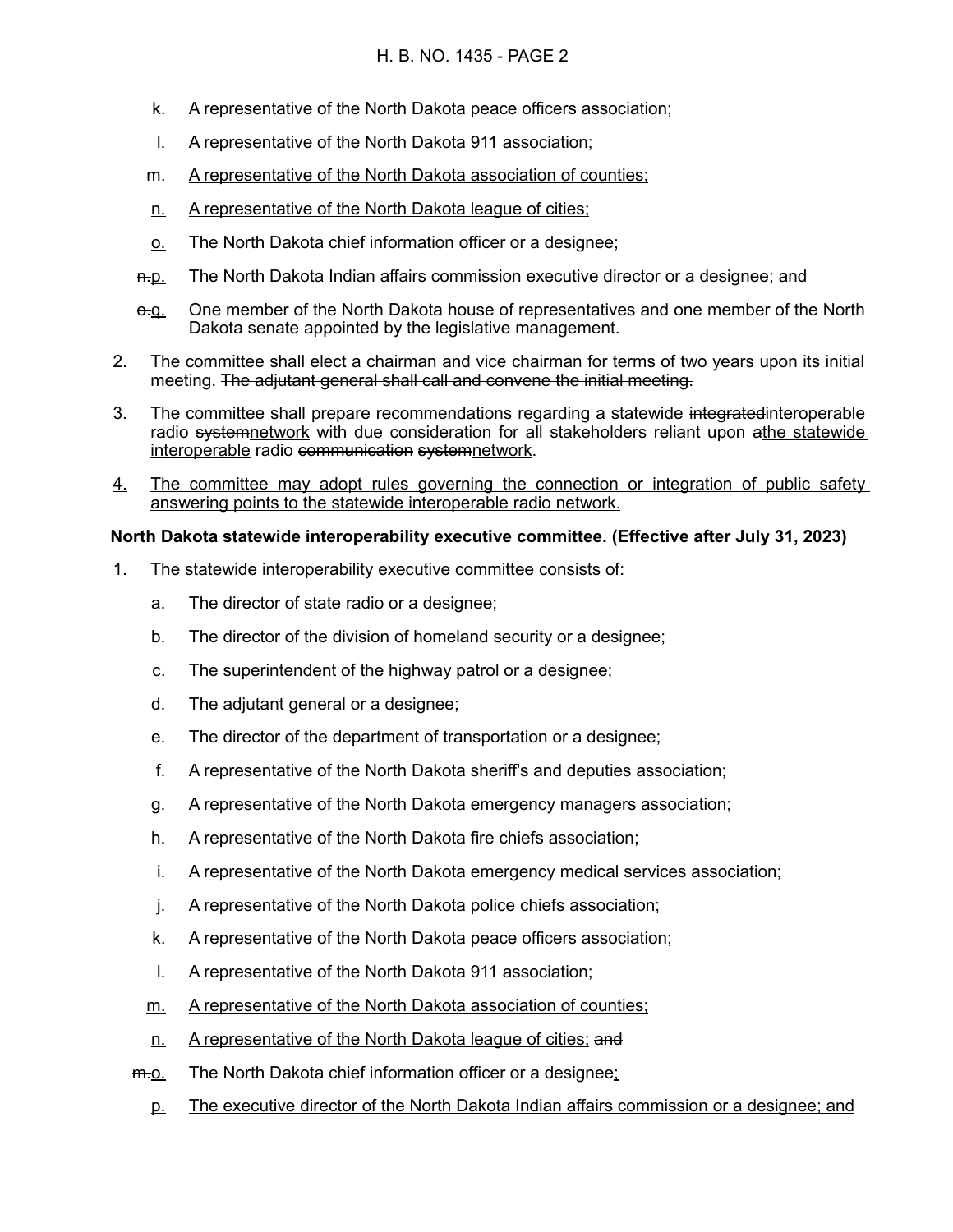- k. A representative of the North Dakota peace officers association;
- l. A representative of the North Dakota 911 association;
- m. A representative of the North Dakota association of counties;
- n. A representative of the North Dakota league of cities;
- o. The North Dakota chief information officer or a designee;
- n.p. The North Dakota Indian affairs commission executive director or a designee; and
- $\theta$ -g. One member of the North Dakota house of representatives and one member of the North Dakota senate appointed by the legislative management.
- 2. The committee shall elect a chairman and vice chairman for terms of two years upon its initial meeting. The adjutant general shall call and convene the initial meeting.
- 3. The committee shall prepare recommendations regarding a statewide integrated interpreable radio systemnetwork with due consideration for all stakeholders reliant upon athe statewide interoperable radio communication systemnetwork.
- 4. The committee may adopt rules governing the connection or integration of public safety answering points to the statewide interoperable radio network.

## **North Dakota statewide interoperability executive committee. (Effective after July 31, 2023)**

- 1. The statewide interoperability executive committee consists of:
	- a. The director of state radio or a designee;
	- b. The director of the division of homeland security or a designee;
	- c. The superintendent of the highway patrol or a designee;
	- d. The adjutant general or a designee;
	- e. The director of the department of transportation or a designee;
	- f. A representative of the North Dakota sheriff's and deputies association;
	- g. A representative of the North Dakota emergency managers association;
	- h. A representative of the North Dakota fire chiefs association;
	- i. A representative of the North Dakota emergency medical services association;
	- j. A representative of the North Dakota police chiefs association;
	- k. A representative of the North Dakota peace officers association;
	- l. A representative of the North Dakota 911 association;
	- m. A representative of the North Dakota association of counties;
	- n. A representative of the North Dakota league of cities; and
	- m.o. The North Dakota chief information officer or a designee;
		- p. The executive director of the North Dakota Indian affairs commission or a designee; and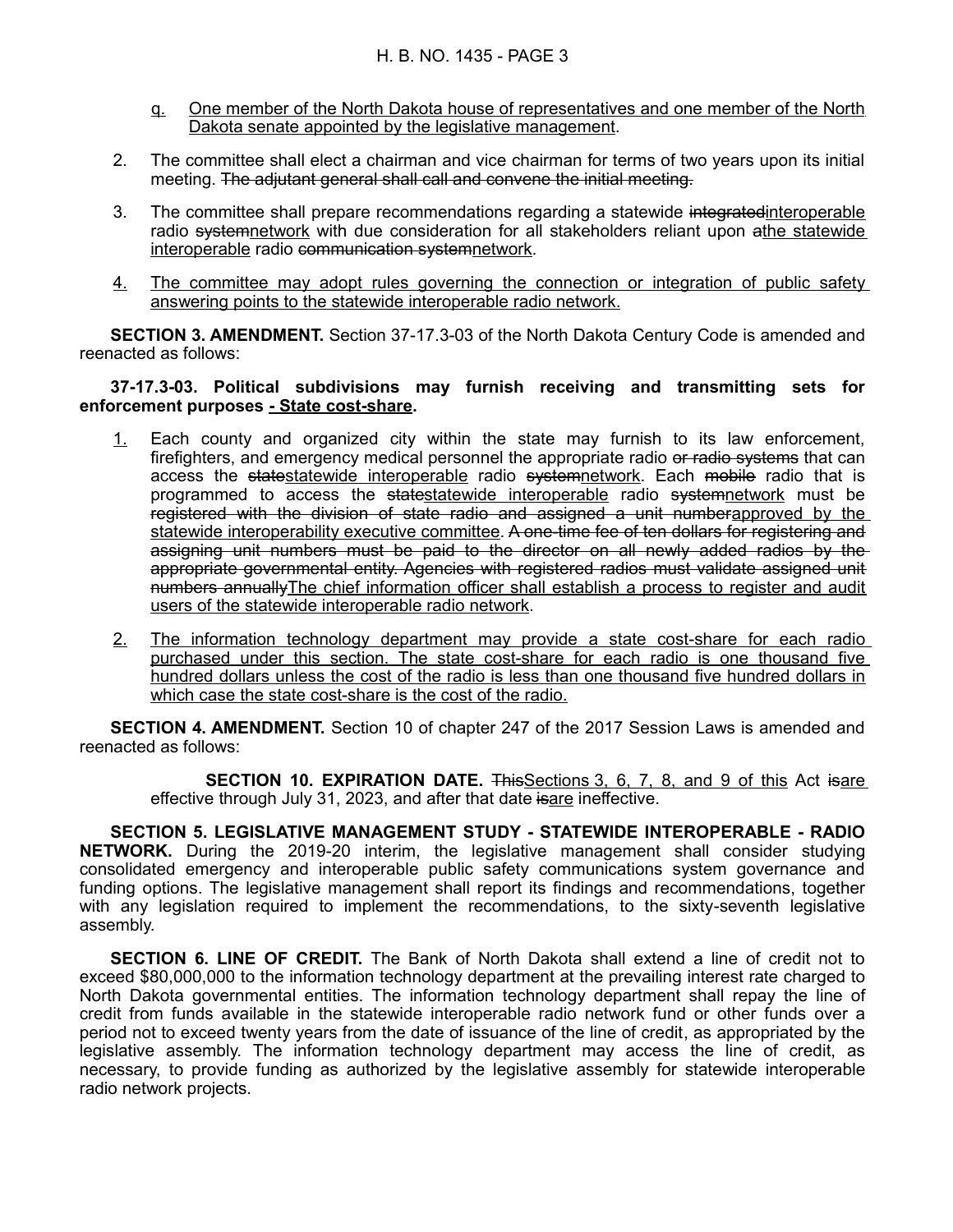- q. One member of the North Dakota house of representatives and one member of the North Dakota senate appointed by the legislative management.
- 2. The committee shall elect a chairman and vice chairman for terms of two years upon its initial meeting. The adjutant general shall call and convene the initial meeting.
- 3. The committee shall prepare recommendations regarding a statewide integratedinteroperable radio systemnetwork with due consideration for all stakeholders reliant upon athe statewide interoperable radio communication systemnetwork.
- 4. The committee may adopt rules governing the connection or integration of public safety answering points to the statewide interoperable radio network.

**SECTION 3. AMENDMENT.** Section 37-17.3-03 of the North Dakota Century Code is amended and reenacted as follows:

#### **37-17.3-03. Political subdivisions may furnish receiving and transmitting sets for enforcement purposes - State cost-share.**

- 1. Each county and organized city within the state may furnish to its law enforcement, firefighters, and emergency medical personnel the appropriate radio or radio systems that can access the statestatewide interoperable radio systemnetwork. Each mobile radio that is programmed to access the statestatewide interoperable radio systemnetwork must be registered with the division of state radio and assigned a unit numberapproved by the statewide interoperability executive committee. A one-time fee of ten dollars for registering and assigning unit numbers must be paid to the director on all newly added radios by the appropriate governmental entity. Agencies with registered radios must validate assigned unit numbers annuallyThe chief information officer shall establish a process to register and audit users of the statewide interoperable radio network.
- 2. The information technology department may provide a state cost-share for each radio purchased under this section. The state cost-share for each radio is one thousand five hundred dollars unless the cost of the radio is less than one thousand five hundred dollars in which case the state cost-share is the cost of the radio.

**SECTION 4. AMENDMENT.** Section 10 of chapter 247 of the 2017 Session Laws is amended and reenacted as follows:

**SECTION 10. EXPIRATION DATE.** This Sections 3, 6, 7, 8, and 9 of this Act is are effective through July 31, 2023, and after that date isare ineffective.

**SECTION 5. LEGISLATIVE MANAGEMENT STUDY - STATEWIDE INTEROPERABLE - RADIO NETWORK.** During the 2019-20 interim, the legislative management shall consider studying consolidated emergency and interoperable public safety communications system governance and funding options. The legislative management shall report its findings and recommendations, together with any legislation required to implement the recommendations, to the sixty-seventh legislative assembly.

**SECTION 6. LINE OF CREDIT.** The Bank of North Dakota shall extend a line of credit not to exceed \$80,000,000 to the information technology department at the prevailing interest rate charged to North Dakota governmental entities. The information technology department shall repay the line of credit from funds available in the statewide interoperable radio network fund or other funds over a period not to exceed twenty years from the date of issuance of the line of credit, as appropriated by the legislative assembly. The information technology department may access the line of credit, as necessary, to provide funding as authorized by the legislative assembly for statewide interoperable radio network projects.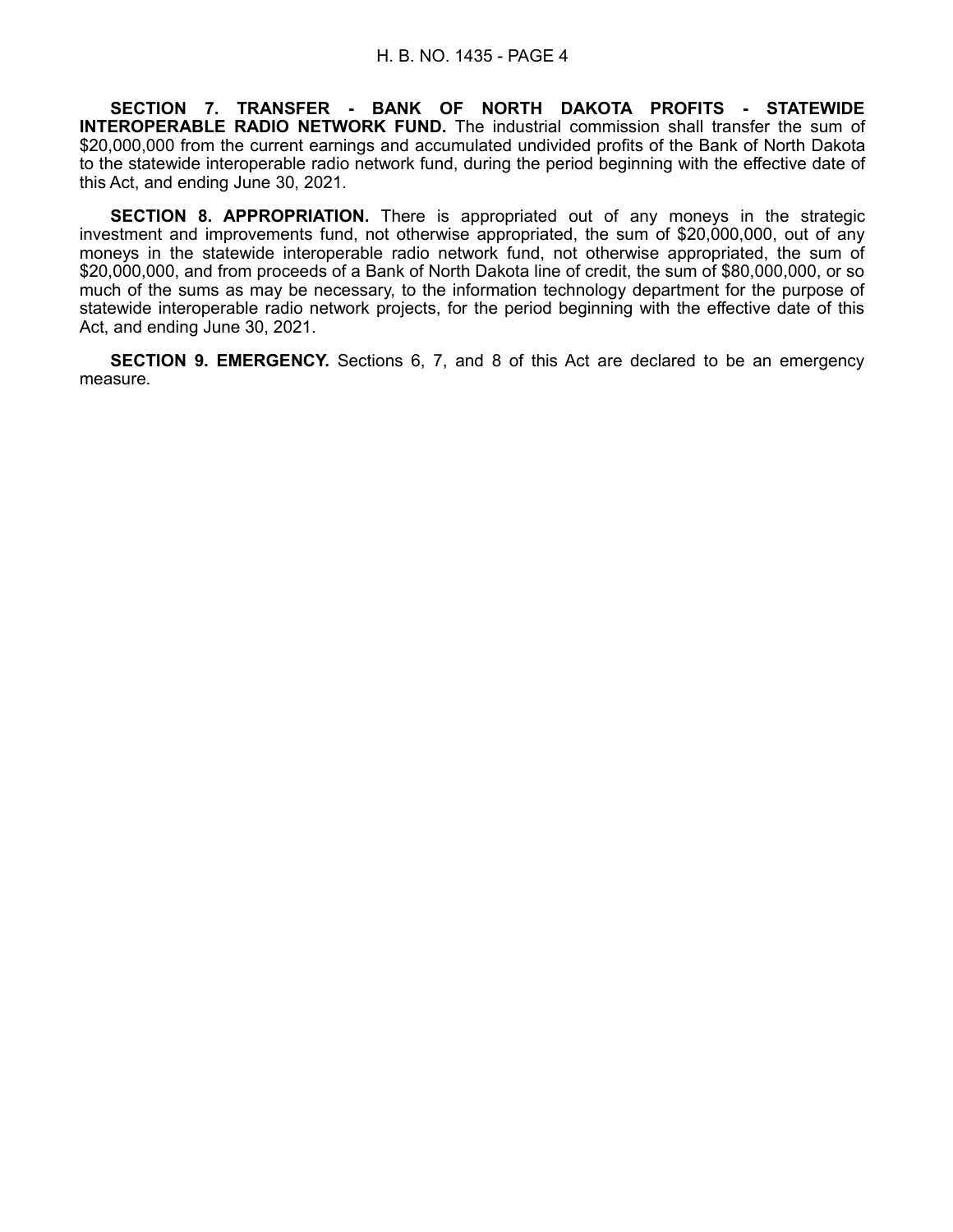**SECTION 7. TRANSFER - BANK OF NORTH DAKOTA PROFITS - STATEWIDE INTEROPERABLE RADIO NETWORK FUND.** The industrial commission shall transfer the sum of \$20,000,000 from the current earnings and accumulated undivided profits of the Bank of North Dakota to the statewide interoperable radio network fund, during the period beginning with the effective date of this Act, and ending June 30, 2021.

**SECTION 8. APPROPRIATION.** There is appropriated out of any moneys in the strategic investment and improvements fund, not otherwise appropriated, the sum of \$20,000,000, out of any moneys in the statewide interoperable radio network fund, not otherwise appropriated, the sum of \$20,000,000, and from proceeds of a Bank of North Dakota line of credit, the sum of \$80,000,000, or so much of the sums as may be necessary, to the information technology department for the purpose of statewide interoperable radio network projects, for the period beginning with the effective date of this Act, and ending June 30, 2021.

**SECTION 9. EMERGENCY.** Sections 6, 7, and 8 of this Act are declared to be an emergency measure.